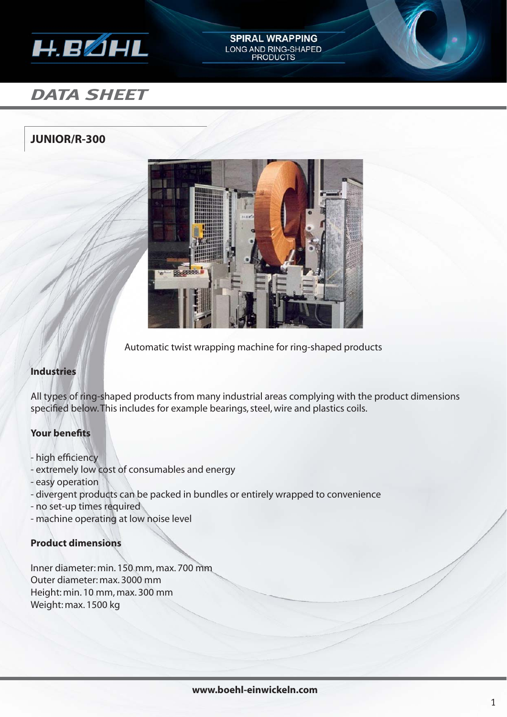

## **SPIRAL WRAPPING** LONG AND RING-SHAPED<br>PRODUCTS

# *DATA SHEET*

### **JUNIOR/R-300**



Automatic twist wrapping machine for ring-shaped products

#### **Industries**

All types of ring-shaped products from many industrial areas complying with the product dimensions specified below. This includes for example bearings, steel, wire and plastics coils.

#### **Your benefits**

- high efficiency
- extremely low cost of consumables and energy
- easy operation
- divergent products can be packed in bundles or entirely wrapped to convenience
- no set-up times required
- machine operating at low noise level

#### **Product dimensions**

Inner diameter: min. 150 mm, max. 700 mm Outer diameter: max. 3000 mm Height: min. 10 mm, max. 300 mm Weight: max. 1500 kg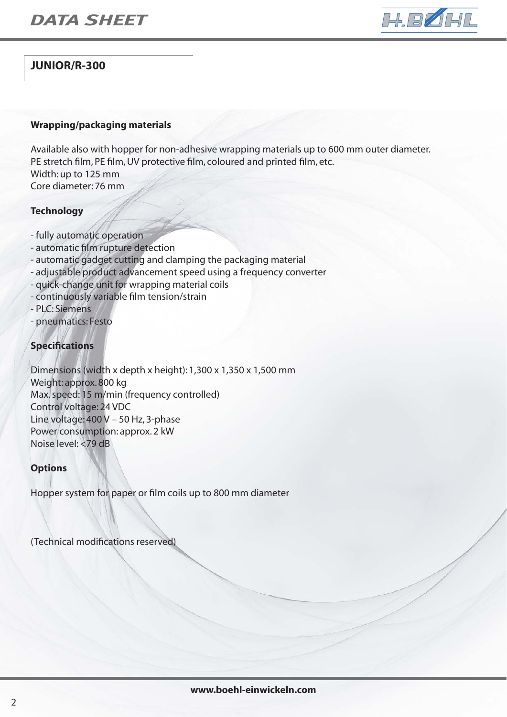

## **JUNIOR/R-300**

#### **Wrapping/packaging materials**

Available also with hopper for non-adhesive wrapping materials up to 600 mm outer diameter. PE stretch film, PE film, UV protective film, coloured and printed film, etc. Width: up to 125 mm Core diameter: 76 mm

#### **Technology**

- fully automatic operation
- automatic film rupture detection
- automatic gadget cutting and clamping the packaging material
- adjustable product advancement speed using a frequency converter
- quick-change unit for wrapping material coils
- continuously variable film tension/strain
- PLC: Siemens
- pneumatics: Festo

#### **Specifications**

Dimensions (width x depth x height): 1,300 x 1,350 x 1,500 mm Weight: approx. 800 kg Max. speed: 15 m/min (frequency controlled) Control voltage: 24 VDC Line voltage: 400 V – 50 Hz, 3-phase Power consumption: approx. 2 kW Noise level: <79 dB

#### **Options**

Hopper system for paper or film coils up to 800 mm diameter

(Technical modifications reserved)